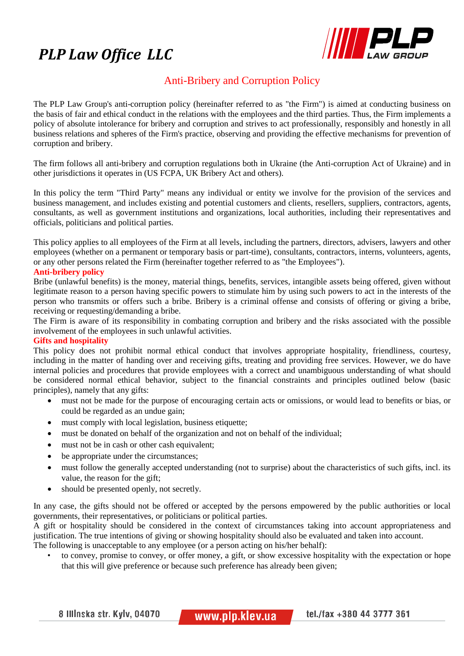# *PLP Law Office LLC*



## Anti-Bribery and Corruption Policy

The PLP Law Group's anti-corruption policy (hereinafter referred to as "the Firm") is aimed at conducting business on the basis of fair and ethical conduct in the relations with the employees and the third parties. Thus, the Firm implements a policy of absolute intolerance for bribery and corruption and strives to act professionally, responsibly and honestly in all business relations and spheres of the Firm's practice, observing and providing the effective mechanisms for prevention of corruption and bribery.

The firm follows all anti-bribery and corruption regulations both in Ukraine (the Anti-corruption Act of Ukraine) and in other jurisdictions it operates in (US FCPA, UK Bribery Act and others).

In this policy the term "Third Party" means any individual or entity we involve for the provision of the services and business management, and includes existing and potential customers and clients, resellers, suppliers, contractors, agents, consultants, as well as government institutions and organizations, local authorities, including their representatives and officials, politicians and political parties.

This policy applies to all employees of the Firm at all levels, including the partners, directors, advisers, lawyers and other employees (whether on a permanent or temporary basis or part-time), consultants, contractors, interns, volunteers, agents, or any other persons related the Firm (hereinafter together referred to as "the Employees").

### **Anti-bribery policy**

Bribe (unlawful benefits) is the money, material things, benefits, services, intangible assets being offered, given without legitimate reason to a person having specific powers to stimulate him by using such powers to act in the interests of the person who transmits or offers such a bribe. Bribery is a criminal offense and consists of offering or giving a bribe, receiving or requesting/demanding a bribe.

The Firm is aware of its responsibility in combating corruption and bribery and the risks associated with the possible involvement of the employees in such unlawful activities.

#### **Gifts and hospitality**

This policy does not prohibit normal ethical conduct that involves appropriate hospitality, friendliness, courtesy, including in the matter of handing over and receiving gifts, treating and providing free services. However, we do have internal policies and procedures that provide employees with a correct and unambiguous understanding of what should be considered normal ethical behavior, subject to the financial constraints and principles outlined below (basic principles), namely that any gifts:

- must not be made for the purpose of encouraging certain acts or omissions, or would lead to benefits or bias, or could be regarded as an undue gain;
- must comply with local legislation, business etiquette;
- must be donated on behalf of the organization and not on behalf of the individual;
- must not be in cash or other cash equivalent;
- be appropriate under the circumstances;
- must follow the generally accepted understanding (not to surprise) about the characteristics of such gifts, incl. its value, the reason for the gift;
- should be presented openly, not secretly.

In any case, the gifts should not be offered or accepted by the persons empowered by the public authorities or local governments, their representatives, or politicians or political parties.

A gift or hospitality should be considered in the context of circumstances taking into account appropriateness and justification. The true intentions of giving or showing hospitality should also be evaluated and taken into account. The following is unacceptable to any employee (or a person acting on his/her behalf):

• to convey, promise to convey, or offer money, a gift, or show excessive hospitality with the expectation or hope that this will give preference or because such preference has already been given;

8 IIIInska str. Kylv, 04070